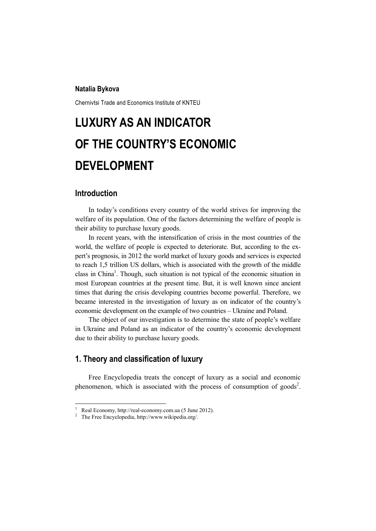#### **Natalia Bykova**

Chernivtsi Trade and Economics Institute of KNTEU

# **LUXURY AS AN INDICATOR OF THE COUNTRY'S ECONOMIC DEVELOPMENT**

#### **Introduction**

 $\overline{a}$ 

In today's conditions every country of the world strives for improving the welfare of its population. One of the factors determining the welfare of people is their ability to purchase luxury goods.

In recent years, with the intensification of crisis in the most countries of the world, the welfare of people is expected to deteriorate. But, according to the expert's prognosis, in 2012 the world market of luxury goods and services is expected to reach 1,5 trillion US dollars, which is associated with the growth of the middle class in China<sup>1</sup>. Though, such situation is not typical of the economic situation in most European countries at the present time. But, it is well known since ancient times that during the crisis developing countries become powerful. Therefore, we became interested in the investigation of luxury as on indicator of the country's economic development on the example of two countries – Ukraine and Poland.

The object of our investigation is to determine the state of people's welfare in Ukraine and Poland as an indicator of the country's economic development due to their ability to purchase luxury goods.

## **1. Theory and classification of luxury**

Free Encyclopedia treats the concept of luxury as a social and economic phenomenon, which is associated with the process of consumption of goods<sup>2</sup>.

<sup>1</sup> Real Economy, http://real-economy.com.ua (5 June 2012).

<sup>2</sup> The Free Encyclopedia, http://www.wikipedia.org/.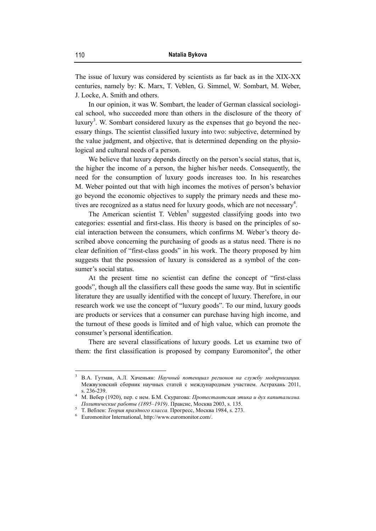The issue of luxury was considered by scientists as far back as in the XIX-XX centuries, namely by: K. Marx, T. Veblen, G. Simmel, W. Sombart, M. Weber, J. Locke, A. Smith and others.

In our opinion, it was W. Sombart, the leader of German classical sociological school, who succeeded more than others in the disclosure of the theory of luxury<sup>3</sup>. W. Sombart considered luxury as the expenses that go beyond the necessary things. The scientist classified luxury into two: subjective, determined by the value judgment, and objective, that is determined depending on the physiological and cultural needs of a person.

We believe that luxury depends directly on the person's social status, that is, the higher the income of a person, the higher his/her needs. Consequently, the need for the consumption of luxury goods increases too. In his researches M. Weber pointed out that with high incomes the motives of person's behavior go beyond the economic objectives to supply the primary needs and these motives are recognized as a status need for luxury goods, which are not necessary<sup>4</sup>.

The American scientist T. Veblen<sup>5</sup> suggested classifying goods into two categories: essential and first-class. His theory is based on the principles of social interaction between the consumers, which confirms M. Weber's theory described above concerning the purchasing of goods as a status need. There is no clear definition of "first-class goods" in his work. The theory proposed by him suggests that the possession of luxury is considered as a symbol of the consumer's social status.

At the present time no scientist can define the concept of "first-class goods", though all the classifiers call these goods the same way. But in scientific literature they are usually identified with the concept of luxury. Therefore, in our research work we use the concept of "luxury goods". To our mind, luxury goods are products or services that a consumer can purchase having high income, and the turnout of these goods is limited and of high value, which can promote the consumer's personal identification.

There are several classifications of luxury goods. Let us examine two of them: the first classification is proposed by company Euromonitor<sup>6</sup>, the other

<sup>3</sup> В.А. Гутман, А.Л. Хаченьян: *Научный потенциал регионов на службу модернизации.* Межвузовский сборник научных статей с международным участием. Астрахань 2011, s. 236-239. 4 M. Вебер (1920), пер. с нем. Б.М. Скуратова: *Протестантская этика и дух капитализма.* 

*Политические работы* (1895–1919). Праксис, Москва 2003, s. 135.

T. Веблен: *Теория праздного класса.* Прогресс, Москва 1984, s. 273. 6

Euromonitor International, http://www.euromonitor.com/.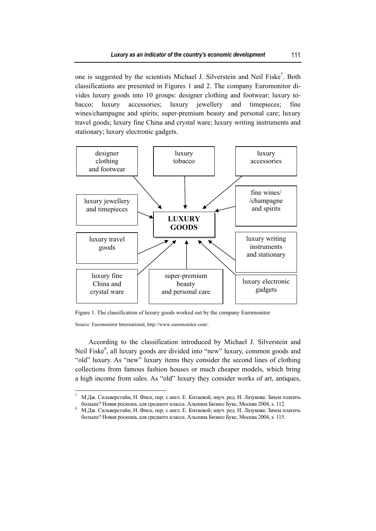one is suggested by the scientists Michael J. Silverstein and Neil Fiske<sup>7</sup>. Both classifications are presented in Figures 1 and 2. The company Euromonitor divides luxury goods into 10 groups: designer clothing and footwear; luxury tobacco; luxury accessories; luxury jewellery and timepieces; fine wines/champagne and spirits; super-premium beauty and personal care; luxury travel goods; luxury fine China and crystal ware; luxury writing instruments and stationary; luxury electronic gadgets.



Figure 1. The classification of luxury goods worked out by the company Euromonitor

Source: Euromonitor International, http://www.euromonitor.com/.

According to the classification introduced by Michael J. Silverstein and Neil Fiske<sup>8</sup>, all luxury goods are divided into "new" luxury, common goods and "old" luxury. As "new" luxury items they consider the second lines of clothing collections from famous fashion houses or much cheaper models, which bring a high income from sales. As "old" luxury they consider works of art, antiques,

 $\overline{a}$ 7 М.Дж. Сильверстайн, Н. Фиск, пер. с англ. Е. Китаевой; науч. ред. И. Лазукова: Зачем платить больше? Hовая роскошь для среднего класса. Альпина Бизнес Букс, Москва 2004, s. 112. 8

М.Дж. Сильверстайн, H. Фиск, пер. с англ. Е. Китаевой; науч. ред. И. Лазукова: Зачем платить больше? Hовая роскошь для среднего класса. Альпина Бизнес Букс, Москва 2004, s. 115.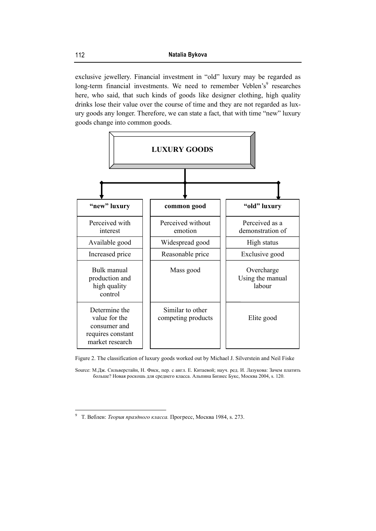exclusive jewellery. Financial investment in "old" luxury may be regarded as long-term financial investments. We need to remember Veblen's<sup>9</sup> researches here, who said, that such kinds of goods like designer clothing, high quality drinks lose their value over the course of time and they are not regarded as luxury goods any longer. Therefore, we can state a fact, that with time "new" luxury goods change into common goods.



Figure 2. The classification of luxury goods worked out by Michael J. Silverstein and Neil Fiske

Source: М.Дж. Сильверстайн, H. Фиск, пер. с англ. Е. Китаевой; науч. ред. И. Лазукова: Зачем платить больше? Hовая роскошь для среднего класса. Альпина Бизнес Букс, Москва 2004, s. 120.

<sup>9</sup> T. Веблен: *Теория праздного класса.* Прогресс, Москва 1984, s. 273.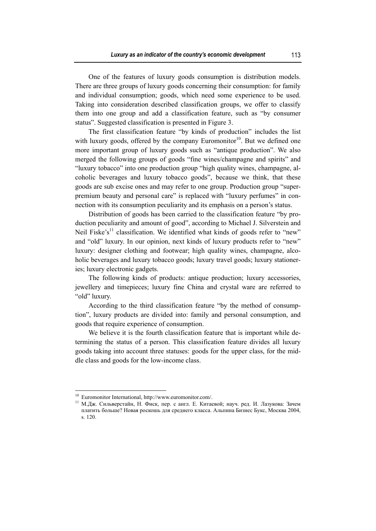One of the features of luxury goods consumption is distribution models. There are three groups of luxury goods concerning their consumption: for family and individual consumption; goods, which need some experience to be used. Taking into consideration described classification groups, we offer to classify them into one group and add a classification feature, such as "by consumer status". Suggested classification is presented in Figure 3.

The first classification feature "by kinds of production" includes the list with luxury goods, offered by the company Euromonitor<sup>10</sup>. But we defined one more important group of luxury goods such as "antique production". We also merged the following groups of goods "fine wines/champagne and spirits" and "luxury tobacco" into one production group "high quality wines, champagne, alcoholic beverages and luxury tobacco goods", because we think, that these goods are sub excise ones and may refer to one group. Production group "superpremium beauty and personal care" is replaced with "luxury perfumes" in connection with its consumption peculiarity and its emphasis on a person's status.

Distribution of goods has been carried to the classification feature "by production peculiarity and amount of good", according to Michael J. Silverstein and Neil Fiske's<sup>11</sup> classification. We identified what kinds of goods refer to "new" and "old" luxury. In our opinion, next kinds of luxury products refer to "new" luxury: designer clothing and footwear; high quality wines, champagne, alcoholic beverages and luxury tobacco goods; luxury travel goods; luxury stationeries; luxury electronic gadgets.

The following kinds of products: antique production; luxury accessories, jewellery and timepieces; luxury fine China and crystal ware are referred to "old" luxury.

According to the third classification feature "by the method of consumption", luxury products are divided into: family and personal consumption, and goods that require experience of consumption.

We believe it is the fourth classification feature that is important while determining the status of a person. This classification feature divides all luxury goods taking into account three statuses: goods for the upper class, for the middle class and goods for the low-income class.

<sup>&</sup>lt;sup>10</sup> Euromonitor International, http://www.euromonitor.com/.

<sup>11</sup> М.Дж. Сильверстайн, H. Фиск, пер. с англ. Е. Китаевой; науч. ред. И. Лазукова: Зачем платить больше? Hовая роскошь для среднего класса. Альпина Бизнес Букс, Москва 2004, s. 120.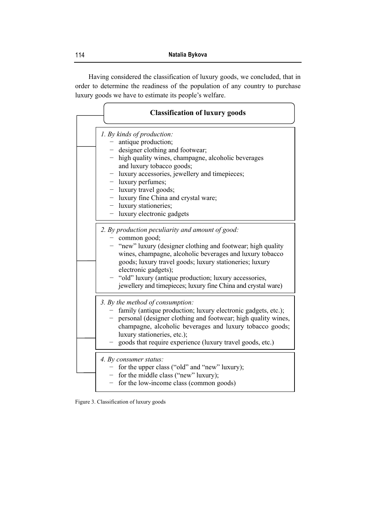Having considered the classification of luxury goods, we concluded, that in order to determine the readiness of the population of any country to purchase luxury goods we have to estimate its people's welfare.

| <b>Classification of luxury goods</b>                                                                                                                                                                                                                                                                                                                                                                         |
|---------------------------------------------------------------------------------------------------------------------------------------------------------------------------------------------------------------------------------------------------------------------------------------------------------------------------------------------------------------------------------------------------------------|
| 1. By kinds of production:<br>- antique production;<br>- designer clothing and footwear;<br>- high quality wines, champagne, alcoholic beverages<br>and luxury tobacco goods;<br>- luxury accessories, jewellery and timepieces;<br>- luxury perfumes;<br>- luxury travel goods;<br>- luxury fine China and crystal ware;<br>- luxury stationeries;<br>- luxury electronic gadgets                            |
| 2. By production peculiarity and amount of good:<br>- common good;<br>- "new" luxury (designer clothing and footwear; high quality<br>wines, champagne, alcoholic beverages and luxury tobacco<br>goods; luxury travel goods; luxury stationeries; luxury<br>electronic gadgets);<br>- "old" luxury (antique production; luxury accessories,<br>jewellery and timepieces; luxury fine China and crystal ware) |
| 3. By the method of consumption:<br>- family (antique production; luxury electronic gadgets, etc.);<br>- personal (designer clothing and footwear; high quality wines,<br>champagne, alcoholic beverages and luxury tobacco goods;<br>luxury stationeries, etc.);<br>goods that require experience (luxury travel goods, etc.)                                                                                |
| 4. By consumer status:<br>- for the upper class ("old" and "new" luxury);<br>- for the middle class ("new" luxury);<br>- for the low-income class (common goods)                                                                                                                                                                                                                                              |

Figure 3. Classification of luxury goods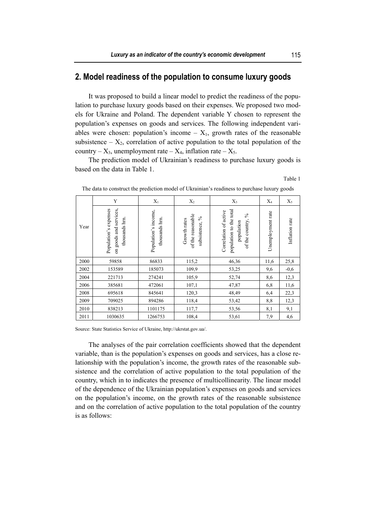### **2. Model readiness of the population to consume luxury goods**

It was proposed to build a linear model to predict the readiness of the population to purchase luxury goods based on their expenses. We proposed two models for Ukraine and Poland. The dependent variable Y chosen to represent the population's expenses on goods and services. The following independent variables were chosen: population's income  $- X_1$ , growth rates of the reasonable subsistence –  $X_2$ , correlation of active population to the total population of the country –  $X_3$ , unemployment rate –  $X_4$ , inflation rate –  $X_5$ .

The prediction model of Ukrainian's readiness to purchase luxury goods is based on the data in Table 1.

Table 1

|      | Y                                                                    | $X_1$                                  | $X_2$                                                  | $X_3$                                                                                  | $X_4$             | $X_5$          |
|------|----------------------------------------------------------------------|----------------------------------------|--------------------------------------------------------|----------------------------------------------------------------------------------------|-------------------|----------------|
| Year | services,<br>Population's expenses<br>thousands hrn.<br>on goods and | Population's income,<br>thousands hrn. | of the reasonable<br>ళ<br>Growth rates<br>subsistence, | population to the total<br>Correlation of active<br>న<br>of the country,<br>population | Unemployment rate | Inflation rate |
| 2000 | 59858                                                                | 86833                                  | 115,2                                                  | 46,36                                                                                  | 11,6              | 25,8           |
| 2002 | 153589                                                               | 185073                                 | 109,9                                                  | 53,25                                                                                  | 9,6               | $-0,6$         |
| 2004 | 221713                                                               | 274241                                 | 105,9                                                  | 52,74                                                                                  | 8,6               | 12,3           |
| 2006 | 385681                                                               | 472061                                 | 107,1                                                  | 47,87                                                                                  | 6,8               | 11,6           |
| 2008 | 695618                                                               | 845641                                 | 120,3                                                  | 48,49                                                                                  | 6,4               | 22,3           |
| 2009 | 709025                                                               | 894286                                 | 118,4                                                  | 53,42                                                                                  | 8,8               | 12,3           |
| 2010 | 838213                                                               | 1101175                                | 117,7                                                  | 53,56                                                                                  | 8,1               | 9,1            |
| 2011 | 1030635                                                              | 1266753                                | 108,4                                                  | 53,61                                                                                  | 7,9               | 4,6            |

The data to construct the prediction model of Ukrainian's readiness to purchase luxury goods

Source: State Statistics Service of Ukraine, http://ukrstat.gov.ua/.

The analyses of the pair correlation coefficients showed that the dependent variable, than is the population's expenses on goods and services, has a close relationship with the population's income, the growth rates of the reasonable subsistence and the correlation of active population to the total population of the country, which in to indicates the presence of multicollinearity. The linear model of the dependence of the Ukrainian population's expenses on goods and services on the population's income, on the growth rates of the reasonable subsistence and on the correlation of active population to the total population of the country is as follows: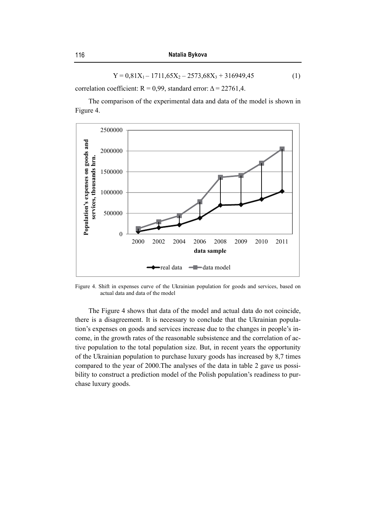$$
Y = 0,81X_1 - 1711,65X_2 - 2573,68X_3 + 316949,45
$$
 (1)

correlation coefficient:  $R = 0.99$ , standard error:  $\Delta = 22761.4$ .

The comparison of the experimental data and data of the model is shown in Figure 4.



Figure 4. Shift in expenses curve of the Ukrainian population for goods and services, based on actual data and data of the model

The Figure 4 shows that data of the model and actual data do not coincide, there is a disagreement. It is necessary to conclude that the Ukrainian population's expenses on goods and services increase due to the changes in people's income, in the growth rates of the reasonable subsistence and the correlation of active population to the total population size. But, in recent years the opportunity of the Ukrainian population to purchase luxury goods has increased by 8,7 times compared to the year of 2000.The analyses of the data in table 2 gave us possibility to construct a prediction model of the Polish population's readiness to purchase luxury goods.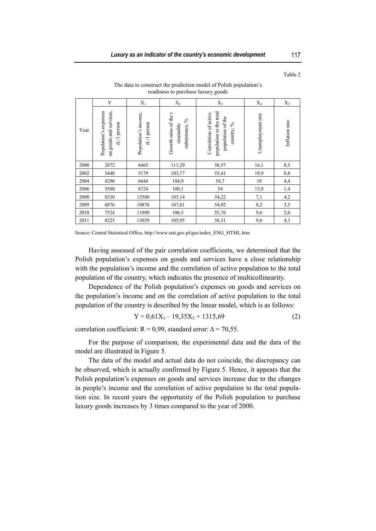| Table 2 |  |
|---------|--|
|         |  |

|      | Y                                                                 | $X_1$                                | $X_2$                                                     | $X_3$                                                                                  | $X_4$             | $X_5$          |
|------|-------------------------------------------------------------------|--------------------------------------|-----------------------------------------------------------|----------------------------------------------------------------------------------------|-------------------|----------------|
| Year | on goods and services,<br>expenses<br>zl/1 person<br>Population's | Population's income,<br>zl./1 person | Growth rates of the r<br>$\%$<br>asonable<br>subsistence, | population to the total<br>Correlation of active<br>population of the<br>న<br>country, | Unemployment rate | Inflation rate |
| 2000 | 2872                                                              | 4465                                 | 111,29                                                    | 56,57                                                                                  | 16,1              | 8,5            |
| 2002 | 3440                                                              | 5179                                 | 103,77                                                    | 55,41                                                                                  | 19,9              | 0,8            |
| 2004 | 4296                                                              | 6444                                 | 104,9                                                     | 54,7                                                                                   | 19                | 4,4            |
| 2006 | 5580                                                              | 8724                                 | 100,1                                                     | 54                                                                                     | 13,8              | 1,4            |
| 2008 | 8530                                                              | 13580                                | 105,14                                                    | 54,22                                                                                  | 7,1               | 4,2            |
| 2009 | 6876                                                              | 10876                                | 107,81                                                    | 54,92                                                                                  | 8,2               | 3,5            |
| 2010 | 7524                                                              | 11809                                | 106,5                                                     | 55,76                                                                                  | 9,6               | 2,6            |
| 2011 | 8225                                                              | 13029                                | 105,95                                                    | 56,31                                                                                  | 9,6               | 4,3            |

The data to construct the prediction model of Polish population's readiness to purchase luxury goods

Having assessed of the pair correlation coefficients, we determined that the Polish population's expenses on goods and services have a close relationship with the population's income and the correlation of active population to the total population of the country, which indicates the presence of multicollinearity.

Dependence of the Polish population's expenses on goods and services on the population's income and on the correlation of active population to the total population of the country is described by the linear model, which is as follows:

$$
Y = 0,61X_1 - 19,35X_3 + 1315,69
$$
 (2)

correlation coefficient:  $R = 0.99$ , standard error:  $\Delta = 70.55$ .

For the purpose of comparison, the experimental data and the data of the model are illustrated in Figure 5.

The data of the model and actual data do not coincide, the discrepancy can be observed, which is actually confirmed by Figure 5. Hence, it appears that the Polish population's expenses on goods and services increase due to the changes in people's income and the correlation of active population to the total population size. In recent years the opportunity of the Polish population to purchase luxury goods increases by 3 times compared to the year of 2000.

Source: Central Statistical Office, http://www.stat.gov.pl/gus/index\_ENG\_HTML.htm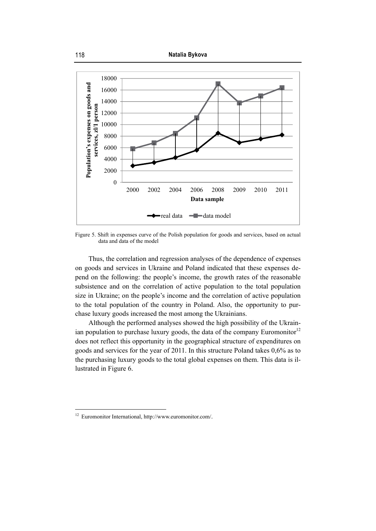

Figure 5. Shift in expenses curve of the Polish population for goods and services, based on actual data and data of the model

Thus, the correlation and regression analyses of the dependence of expenses on goods and services in Ukraine and Poland indicated that these expenses depend on the following: the people's income, the growth rates of the reasonable subsistence and on the correlation of active population to the total population size in Ukraine; on the people's income and the correlation of active population to the total population of the country in Poland. Also, the opportunity to purchase luxury goods increased the most among the Ukrainians.

Although the performed analyses showed the high possibility of the Ukrainian population to purchase luxury goods, the data of the company Euromonitor<sup>12</sup> does not reflect this opportunity in the geographical structure of expenditures on goods and services for the year of 2011. In this structure Poland takes 0,6% as to the purchasing luxury goods to the total global expenses on them. This data is illustrated in Figure 6.

<sup>12</sup> Euromonitor International, http://www.euromonitor.com/.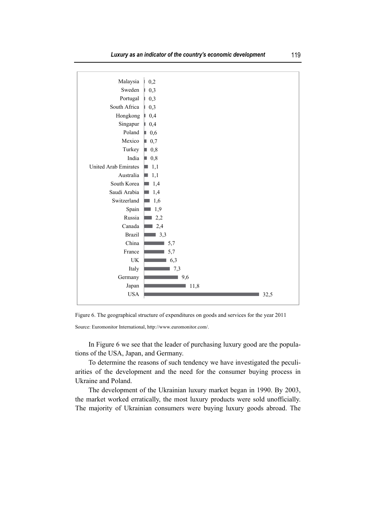*Luxury as an indicator of the country's economic development* 119





Source: Euromonitor International, http://www.euromonitor.com/.

In Figure 6 we see that the leader of purchasing luxury good are the populations of the USA, Japan, and Germany.

To determine the reasons of such tendency we have investigated the peculiarities of the development and the need for the consumer buying process in Ukraine and Poland.

The development of the Ukrainian luxury market began in 1990. By 2003, the market worked erratically, the most luxury products were sold unofficially. The majority of Ukrainian consumers were buying luxury goods abroad. The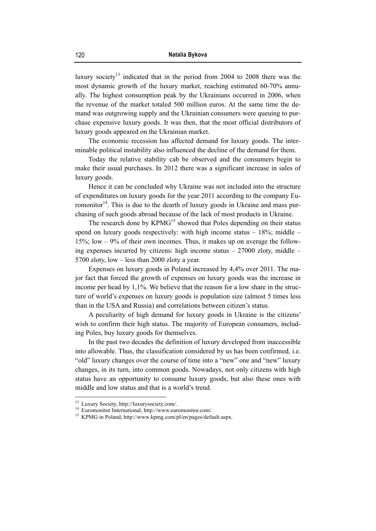luxury society<sup>13</sup> indicated that in the period from 2004 to 2008 there was the most dynamic growth of the luxury market, reaching estimated 60-70% annually. The highest consumption peak by the Ukrainians occurred in 2006, when the revenue of the market totaled 500 million euros. At the same time the demand was outgrowing supply and the Ukrainian consumers were queuing to purchase expensive luxury goods. It was then, that the most official distributors of luxury goods appeared on the Ukrainian market.

The economic recession has affected demand for luxury goods. The interminable political instability also influenced the decline of the demand for them.

Today the relative stability cab be observed and the consumers begin to make their usual purchases. In 2012 there was a significant increase in sales of luxury goods.

Hence it can be concluded why Ukraine was not included into the structure of expenditures on luxury goods for the year 2011 according to the company Euromonitor $14$ . This is due to the dearth of luxury goods in Ukraine and mass purchasing of such goods abroad because of the lack of most products in Ukraine.

The research done by  $KPMG<sup>15</sup>$  showed that Poles depending on their status spend on luxury goods respectively: with high income status  $-18\%$ ; middle  $-$ 15%; low – 9% of their own incomes. Thus, it makes up on average the following expenses incurred by citizens: high income status  $-27000$  zloty, middle  $-$ 5700 zloty, low – less than 2000 zloty a year.

Expenses on luxury goods in Poland increased by 4,4% over 2011. The major fact that forced the growth of expenses on luxury goods was the increase in income per head by 1,1%. We believe that the reason for a low share in the structure of world's expenses on luxury goods is population size (almost 5 times less than in the USA and Russia) and correlations between citizen's status.

A peculiarity of high demand for luxury goods in Ukraine is the citizens' wish to confirm their high status. The majority of European consumers, including Poles, buy luxury goods for themselves.

In the past two decades the definition of luxury developed from inaccessible into allowable. Thus, the classification considered by us has been confirmed, i.e. "old" luxury changes over the course of time into a "new" one and "new" luxury changes, in its turn, into common goods. Nowadays, not only citizens with high status have an opportunity to consume luxury goods, but also these ones with middle and low status and that is a world's trend.

<sup>13</sup> Luxury Society, http://luxurysociety.com/.

<sup>14</sup> Euromonitor International, http://www.euromonitor.com/.

<sup>15</sup> KPMG in Poland, http://www.kpmg.com/pl/en/pages/default.aspx.